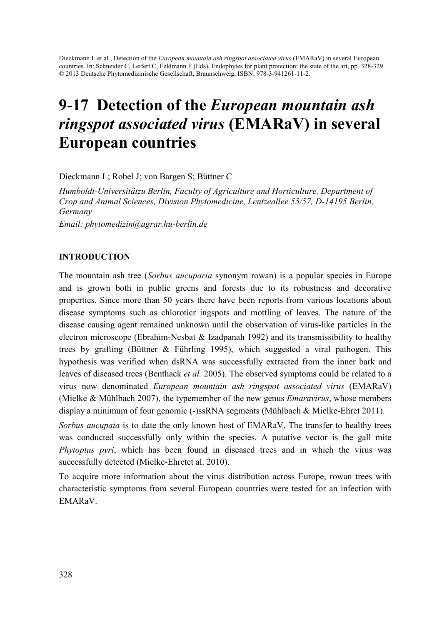Dieckmann L et al., Detection of the *European mountain ash ringspot associated virus* (EMARaV) in several European countries. In: Schneider C, Leifert C, Feldmann F (Eds), Endophytes for plant protection: the state of the art, pp. 328-329. © 2013 Deutsche Phytomedizinische Gesellschaft, Braunschweig, ISBN: 978-3-941261-11-2.

# 9-17 Detection of the European mountain ash ringspot associated virus (EMARaV) in several European countries

Dieckmann L; Robel J; von Bargen S; Büttner C

*Humboldt-Universitätzu Berlin, Faculty of Agriculture and Horticulture, Department of Crop and Animal Sciences, Division Phytomedicine, Lentzeallee 55/57, D-14195 Berlin, Germany Email: phytomedizin@agrar.hu-berlin.de* 

# INTRODUCTION

The mountain ash tree (*Sorbus aucuparia* synonym rowan) is a popular species in Europe and is grown both in public greens and forests due to its robustness and decorative properties. Since more than 50 years there have been reports from various locations about disease symptoms such as chloroticr ingspots and mottling of leaves. The nature of the disease causing agent remained unknown until the observation of virus-like particles in the electron microscope (Ebrahim-Nesbat & Izadpanah 1992) and its transmissibility to healthy trees by grafting (Büttner & Führling 1995), which suggested a viral pathogen. This hypothesis was verified when dsRNA was successfully extracted from the inner bark and leaves of diseased trees (Benthack *et al.* 2005). The observed symptoms could be related to a virus now denominated *European mountain ash ringspot associated virus* (EMARaV) (Mielke & Mühlbach 2007), the typemember of the new genus *Emaravirus*, whose members display a minimum of four genomic (-)ssRNA segments (Mühlbach & Mielke-Ehret 2011).

*Sorbus aucupaia* is to date the only known host of EMARaV. The transfer to healthy trees was conducted successfully only within the species. A putative vector is the gall mite *Phytoptus pyri*, which has been found in diseased trees and in which the virus was successfully detected (Mielke-Ehretet al. 2010).

To acquire more information about the virus distribution across Europe, rowan trees with characteristic symptoms from several European countries were tested for an infection with EMARaV.